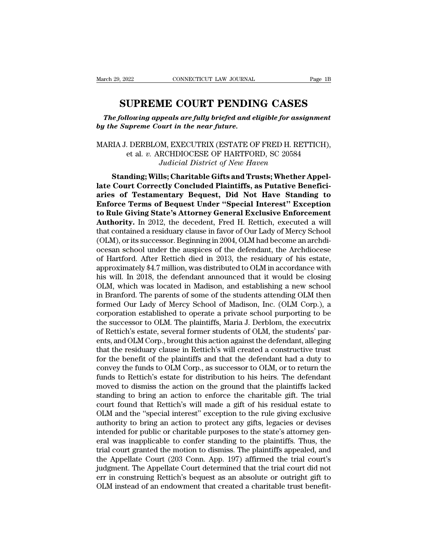<sup>2022</sup> CONNECTICUT LAW JOURNAL Page 1B<br> **SUPREME COURT PENDING CASES**<br>
Following appeals are fully briefed and eligible for assignment<br>
Supreme Court in the near future. *The following appeals are fully briefed and eligible for assignment*<br>*The following appeals are fully briefed and eligible for assignment*<br>*The Supreme Court in the near future. by the Supreme Connecticut LAW JOURNAL*<br> **by the Supreme Court in the near future.**<br> **by the Supreme Court in the near future.** 

**SUPREME COURT PENDING CASES**<br> *The following appeals are fully briefed and eligible for assignment*<br> *by the Supreme Court in the near future.*<br>
MARIA J. DERBLOM, EXECUTRIX (ESTATE OF FRED H. RETTICH),<br>
et al. v. ARCHDIOC **UPREME COURT PENDING CASES**<br> *lowing appeals are fully briefed and eligible for assignment*<br> *upreme Court in the near future.*<br>
. DERBLOM, EXECUTRIX (ESTATE OF FRED H. RETTICH),<br>
et al. *v.* ARCHDIOCESE OF HARTFORD, SC *Judicial COORT TENDING CASES*<br>*Peals are fully briefed and eligible for assign<br>purt in the near future.*<br>M, EXECUTRIX (ESTATE OF FRED H. RETT<br>RCHDIOCESE OF HARTFORD, SC 20584<br>Judicial District of New Haven<br>Ils; Charitabl **Supreme Court in the near future.**<br>
MAJ. DERBLOM, EXECUTRIX (ESTATE OF FRED H. RETTICH),<br>
et al. v. ARCHDIOCESE OF HARTFORD, SC 20584<br> *Judicial District of New Haven*<br> **Standing; Wills; Charitable Gifts and Trusts; Wheth** 

**late Court in the hear junite.**<br>
MARIA J. DERBLOM, EXECUTRIX (ESTATE OF FRED H. RETTICH),<br>
et al. v. ARCHDIOCESE OF HARTFORD, SC 20584<br> *Judicial District of New Haven*<br> **Standing; Wills; Charitable Gifts and Trusts; Whet** MARIA J. DERBLOM, EXECUTRIX (ESTATE OF FRED H. RETTICH),<br>et al. v. ARCHDIOCESE OF HARTFORD, SC 20584<br>*Judicial District of New Haven*<br>**Standing; Wills; Charitable Gifts and Trusts; Whether Appel-<br>late Court Correctly Concl ENGLORE OF HARTFORD, SC 20584**<br> *Englored L. v. ARCHDIOCESE OF HARTFORD, SC 20584*<br> *Judicial District of New Haven*<br> **Standing; Wills; Charitable Gifts and Trusts; Whether Appellate Court Correctly Concluded Plaintiffs,** *to. AKCHDROCESE OF HAKTFOKD, SC 20064*<br>*Judicial District of New Haven*<br>**Standing; Wills; Charitable Gifts and Trusts; Whether Appel-<br>late Court Correctly Concluded Plaintiffs, as Putative Benefici-<br>aries of Testamentary Standing; Wills; Charitable Gifts and Trusts; Whether Appellate Court Correctly Concluded Plaintiffs, as Putative Beneficiaries of Testamentary Bequest, Did Not Have Standing to Enforce Terms of Bequest Under "Special Int** Standing; Wills; Charitable Gifts and Trusts; Whether Appellate Court Correctly Concluded Plaintiffs, as Putative Beneficiaries of Testamentary Bequest, Did Not Have Standing to Enforce Terms of Bequest Under "Special Inte late Court Correctly Concluded Plaintiffs, as Putative Beneficiaries of Testamentary Bequest, Did Not Have Standing to Enforce Terms of Bequest Under "Special Interest" Exception to Rule Giving State's Attorney General Exc aries of Testamentary Bequest, Did Not Have Standing to<br>Enforce Terms of Bequest Under "Special Interest" Exception<br>to Rule Giving State's Attorney General Exclusive Enforcement<br>Authority. In 2012, the decedent, Fred H. Re **Enforce Terms of Bequest Under "Special Interest" Exception**<br>to Rule Giving State's Attorney General Exclusive Enforcement<br>Authority. In 2012, the decedent, Fred H. Rettich, executed a will<br>that contained a residuary clau to Rule Giving State's Attorney General Exclusive Enforcement<br>Authority. In 2012, the decedent, Fred H. Rettich, executed a will<br>that contained a residuary clause in favor of Our Lady of Mercy School<br>(OLM), or its successo Authority. In 2012, the decedent, Fred H. Rettich, executed a will<br>that contained a residuary clause in favor of Our Lady of Mercy School<br>(OLM), or its successor. Beginning in 2004, OLM had become an archdi-<br>ocesan school that contained a residuary clause in favor of Our Lady of Mercy School (OLM), or its successor. Beginning in 2004, OLM had become an archdiocesan school under the auspices of the defendant, the Archdiocese of Hartford. Aft (OLM), or its successor. Beginning in 2004, OLM had become an archdiocesan school under the auspices of the defendant, the Archdiocese of Hartford. After Rettich died in 2013, the residuary of his estate, approximately \$4. ocesan school under the auspices of the defendant, the Archdiocese<br>of Hartford. After Rettich died in 2013, the residuary of his estate,<br>approximately \$4.7 million, was distributed to OLM in accordance with<br>his will. In 20 of Hartford. After Rettich died in 2013, the residuary of his estate,<br>approximately \$4.7 million, was distributed to OLM in accordance with<br>his will. In 2018, the defendant announced that it would be closing<br>OLM, which was approximately \$4.7 million, was distributed to OLM in accordance with<br>his will. In 2018, the defendant announced that it would be closing<br>OLM, which was located in Madison, and establishing a new school<br>in Branford. The pa his will. In 2018, the defendant announced that it would be closing OLM, which was located in Madison, and establishing a new school<br>in Branford. The parents of some of the students attending OLM then<br>formed Our Lady of Me OLM, which was located in Madison, and establishing a new school<br>in Branford. The parents of some of the students attending OLM then<br>formed Our Lady of Mercy School of Madison, Inc. (OLM Corp.), a<br>corporation established t in Branford. The parents of some of the students attending OLM then<br>formed Our Lady of Mercy School of Madison, Inc. (OLM Corp.), a<br>corporation established to operate a private school purporting to be<br>the successor to OLM. formed Our Lady of Mercy School of Madison, Inc. (OLM Corp.), a<br>corporation established to operate a private school purporting to be<br>the successor to OLM. The plaintiffs, Maria J. Derblom, the executrix<br>of Rettich's estate corporation established to operate a private school purporting to be<br>the successor to OLM. The plaintiffs, Maria J. Derblom, the executrix<br>of Rettich's estate, several former students of OLM, the students' par-<br>ents, and O the successor to OLM. The plaintiffs, Maria J. Derblom, the executrix<br>of Rettich's estate, several former students of OLM, the students' par-<br>ents, and OLM Corp., brought this action against the defendant, alleging<br>that th of Rettich's estate, several former students of OLM, the students' parents, and OLM Corp., brought this action against the defendant, alleging that the residuary clause in Rettich's will created a constructive trust for th ents, and OLM Corp., brought this action against the defendant, alleging<br>that the residuary clause in Rettich's will created a constructive trust<br>for the benefit of the plaintiffs and that the defendant had a duty to<br>conve that the residuary clause in Rettich's will created a constructive trust<br>for the benefit of the plaintiffs and that the defendant had a duty to<br>convey the funds to OLM Corp., as successor to OLM, or to return the<br>funds to for the benefit of the plaintiffs and that the defendant had a duty to convey the funds to OLM Corp., as successor to OLM, or to return the funds to Rettich's estate for distribution to his heirs. The defendant moved to di convey the funds to OLM Corp., as successor to OLM, or to return the funds to Rettich's estate for distribution to his heirs. The defendant moved to dismiss the action on the ground that the plaintiffs lacked standing to b funds to Rettich's estate for distribution to his heirs. The defendant<br>moved to dismiss the action on the ground that the plaintiffs lacked<br>standing to bring an action to enforce the charitable gift. The trial<br>court found moved to dismiss the action on the ground that the plaintiffs lacked<br>standing to bring an action to enforce the charitable gift. The trial<br>court found that Rettich's will made a gift of his residual estate to<br>OLM and the standing to bring an action to enforce the charitable gift. The trial<br>court found that Rettich's will made a gift of his residual estate to<br>OLM and the "special interest" exception to the rule giving exclusive<br>authority to court found that Rettich's will made a gift of his residual estate to OLM and the "special interest" exception to the rule giving exclusive authority to bring an action to protect any gifts, legacies or devises intended fo OLM and the "special interest" exception to the rule giving exclusive<br>authority to bring an action to protect any gifts, legacies or devises<br>intended for public or charitable purposes to the state's attorney gen-<br>eral was authority to bring an action to protect any gifts, legacies or devises<br>intended for public or charitable purposes to the state's attorney gen-<br>eral was inapplicable to confer standing to the plaintiffs. Thus, the<br>trial cou intended for public or charitable purposes to the state's attorney general was inapplicable to confer standing to the plaintiffs. Thus, the trial court granted the motion to dismiss. The plaintiffs appealed, and the Appell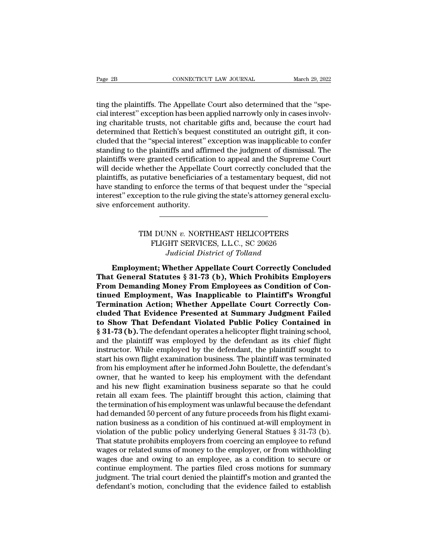Example 28 CONNECTICUT LAW JOURNAL March 29, 2022<br>ting the plaintiffs. The Appellate Court also determined that the "spe-<br>cial interest" exception has been applied narrowly only in cases involv-<br>ing charitable trusts, not Page 2B<br>
connecticut LAW JOURNAL<br>
ting the plaintiffs. The Appellate Court also determined that the "spe-<br>
cial interest" exception has been applied narrowly only in cases involv-<br>
ing charitable trusts, not charitable gif Page 2B CONNECTICUT LAW JOURNAL March 29, 2022<br>
ting the plaintiffs. The Appellate Court also determined that the "spe-<br>
cial interest" exception has been applied narrowly only in cases involv-<br>
ing charitable trusts, not Page 2B<br>
connecticut LAW JOURNAL<br>
ting the plaintiffs. The Appellate Court also determined that the "spe-<br>
cial interest" exception has been applied narrowly only in cases involv-<br>
ing charitable trusts, not charitable gif ting the plaintiffs. The Appellate Court also determined that the "special interest" exception has been applied narrowly only in cases involving charitable trusts, not charitable gifts and, because the court had determined ting the plaintiffs. The Appellate Court also determined that the "special interest" exception has been applied narrowly only in cases involving charitable trusts, not charitable gifts and, because the court had determined ting the plaintiffs. The Appellate Court also determined that the "special interest" exception has been applied narrowly only in cases involving charitable trusts, not charitable gifts and, because the court had determined cial interest" exception has been applied narrowly only in cases involving charitable trusts, not charitable gifts and, because the court had determined that Rettich's bequest constituted an outright gift, it concluded tha ing charitable trusts, not charitable gifts and, because the court had<br>determined that Rettich's bequest constituted an outright gift, it con-<br>cluded that the "special interest" exception was inapplicable to confer<br>standin determined that Rettich's bequest constituted an outright gift, it concluded that the "special interest" exception was inapplicable to confer standing to the plaintiffs and affirmed the judgment of dismissal. The plaintiff cluded that the "special interest" exception was inapplicable to confer standing to the plaintiffs and affirmed the judgment of dismissal. The plaintiffs were granted certification to appeal and the Supreme Court will deci standing to the plaintiffs and affire<br>plaintiffs were granted certificatientiffs were granted certificatient<br>will decide whether the Appellat<br>plaintiffs, as putative beneficiarient<br>have standing to enforce the term<br>interes putative beneficiaries of a testamentary bequest, did nc<br>g to enforce the terms of that bequest under the "special<br>eption to the rule giving the state's attorney general excluent<br>ment authority.<br>TIM DUNN *v*. NORTHEAST HEL FLIGHT SERVICES, L.L.C., SC 20626

## *Judicial Districts attorney gene*<br> *Judicial District of Tolland*<br> *Judicial District of Tolland*<br> *Phether Appellate Court Correctly Co*

TIM DUNN v. NORTHEAST HELICOPTERS<br>
FLIGHT SERVICES, L.L.C., SC 20626<br> *Judicial District of Tolland*<br> **Employment; Whether Appellate Court Correctly Concluded**<br> **Employment; Whether Appellate Court Correctly Concluded**<br> **E** TIM DUNN *v.* NORTHEAST HELICOPTERS<br>
FLIGHT SERVICES, L.L.C., SC 20626<br> *Judicial District of Tolland*<br> **Employment; Whether Appellate Court Correctly Concluded**<br> **That General Statutes § 31-73 (b), Which Prohibits Employe** TIM DUNN v. NORTHEAST HELICOPTERS<br>
FLIGHT SERVICES, L.L.C., SC 20626<br>
Judicial District of Tolland<br> **Employment**; Whether Appellate Court Correctly Concluded<br> **That General Statutes § 31-73 (b), Which Prohibits Employers**<br> FLIGHT SERVICES, L.L.C., SC 20626<br> *Judicial District of Tolland*<br> **Employment; Whether Appellate Court Correctly Concluded**<br> **That General Statutes § 31-73 (b), Which Prohibits Employers**<br> **From Demanding Money From Emplo** *THERT SERVICES, EERS, SC 20020*<br>*Judicial District of Tolland*<br>**That General Statutes § 31-73 (b), Which Prohibits Employers<br>From Demanding Money From Employees as Condition of Con-<br>tinued Employment, Was Inapplicable to church Propellate Court Correctly Concluded**<br>That General Statutes § 31-73 (b), Which Prohibits Employers<br>From Demanding Money From Employees as Condition of Con-<br>tinued Employment, Was Inapplicable to Plaintiff's Wrongfu Employment; Whether Appellate Court Correctly Concluded<br>That General Statutes § 31-73 (b), Which Prohibits Employers<br>From Demanding Money From Employees as Condition of Con-<br>tinued Employment, Was Inapplicable to Plaintiff That General Statutes § 31-73 (b), Which Prohibits Employers<br>From Demanding Money From Employees as Condition of Con-<br>tinued Employment, Was Inapplicable to Plaintiff's Wrongful<br>Termination Action; Whether Appellate Court From Demanding Money From Employees as Condition of Continued Employment, Was Inapplicable to Plaintiff's Wrongful<br>Termination Action; Whether Appellate Court Correctly Concluded That Evidence Presented at Summary Judgment tinued Employment, Was Inapplicable to Plaintiff's Wrongful<br>Termination Action; Whether Appellate Court Correctly Con-<br>cluded That Evidence Presented at Summary Judgment Failed<br>to Show That Defendant Violated Public Policy **Termination Action; Whether Appellate Court Correctly Con-**<br>cluded That Evidence Presented at Summary Judgment Failed<br>to Show That Defendant Violated Public Policy Contained in<br>§ 31-73 (b). The defendant operates a helico cluded That Evidence Presented at Summary Judgment Failed<br>to Show That Defendant Violated Public Policy Contained in<br>§ 31-73 (b). The defendant operates a helicopter flight training school,<br>and the plaintiff was employed b to Show That Defendant Violated Public Policy Contained in § 31-73 (b). The defendant operates a helicopter flight training school, and the plaintiff was employed by the defendant as its chief flight instructor. While empl  $\S$  31-73 (b). The defendant operates a helicopter flight training school,<br>and the plaintiff was employed by the defendant as its chief flight<br>instructor. While employed by the defendant, the plaintiff sought to<br>start his and the plaintiff was employed by the defendant as its chief flight<br>instructor. While employed by the defendant, the plaintiff sought to<br>start his own flight examination business. The plaintiff was terminated<br>from his empl instructor. While employed by the defendant, the plaintiff sought to<br>start his own flight examination business. The plaintiff was terminated<br>from his employment after he informed John Boulette, the defendant's<br>owner, that start his own flight examination business. The plaintiff was terminated<br>from his employment after he informed John Boulette, the defendant's<br>owner, that he wanted to keep his employment with the defendant<br>and his new flig from his employment after he informed John Boulette, the defendant's<br>owner, that he wanted to keep his employment with the defendant<br>and his new flight examination business separate so that he could<br>retain all exam fees. T owner, that he wanted to keep his employment with the defendant<br>and his new flight examination business separate so that he could<br>retain all exam fees. The plaintiff brought this action, claiming that<br>the termination of hi and his new flight examination business separate so that he could<br>retain all exam fees. The plaintiff brought this action, claiming that<br>the termination of his employment was unlawful because the defendant<br>had demanded 50 retain all exam fees. The plaintiff brought this action, claiming that<br>the termination of his employment was unlawful because the defendant<br>had demanded 50 percent of any future proceeds from his flight exami-<br>nation busin the termination of his employment was unlawful because the defendant<br>had demanded 50 percent of any future proceeds from his flight exami-<br>nation business as a condition of his continued at-will employment in<br>violation of had demanded 50 percent of any future proceeds from his flight examination business as a condition of his continued at-will employment in violation of the public policy underlying General Statues § 31-73 (b). That statute nation business as a condition of his continued at-will employment in violation of the public policy underlying General Statues  $\S 31-73$  (b). That statute prohibits employers from coercing an employee to refund wages or violation of the public policy underlying General Statues § 31-73 (b).<br>That statute prohibits employers from coercing an employee to refund<br>wages or related sums of money to the employer, or from withholding<br>wages due and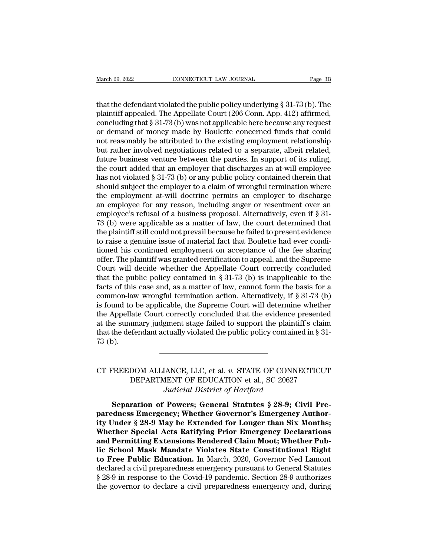March 29, 2022<br>  $\hbox{COMNETICUT LAW JOURNAL}$ <br>  $\hbox{Page 3B}$ <br>
that the defendant violated the public policy underlying § 31-73 (b). The<br>
plaintiff appealed. The Appellate Court (206 Conn. App. 412) affirmed,<br>
concluding that  $\frac{8}{31}$ , March 29, 2022 CONNECTICUT LAW JOURNAL Page 3B<br>
that the defendant violated the public policy underlying § 31-73 (b). The<br>
plaintiff appealed. The Appellate Court (206 Conn. App. 412) affirmed,<br>
concluding that § 31-73 (b March 29, 2022 CONNECTICUT LAW JOURNAL Page 3B<br>
that the defendant violated the public policy underlying § 31-73 (b). The<br>
plaintiff appealed. The Appellate Court (206 Conn. App. 412) affirmed,<br>
concluding that § 31-73 (b March 29, 2022 CONNECTICUT LAW JOURNAL Page 3B<br>
that the defendant violated the public policy underlying  $\S 31-73$  (b). The<br>
plaintiff appealed. The Appellate Court (206 Conn. App. 412) affirmed,<br>
concluding that  $\S 31-73$ that the defendant violated the public policy underlying  $\S$  31-73 (b). The plaintiff appealed. The Appellate Court (206 Conn. App. 412) affirmed, concluding that  $\S$  31-73 (b) was not applicable here because any request that the defendant violated the public policy underlying  $\S$  31-73 (b). The plaintiff appealed. The Appellate Court (206 Conn. App. 412) affirmed, concluding that  $\S$  31-73 (b) was not applicable here because any request that the defendant violated the public policy underlying § 31-73 (b). The plaintiff appealed. The Appellate Court (206 Conn. App. 412) affirmed, concluding that § 31-73 (b) was not applicable here because any request or d plaintiff appealed. The Appellate Court (206 Conn. App. 412) affirmed,<br>concluding that § 31-73 (b) was not applicable here because any request<br>or demand of money made by Boulette concerned funds that could<br>not reasonably b concluding that § 31-73 (b) was not applicable here because any request<br>or demand of money made by Boulette concerned funds that could<br>not reasonably be attributed to the existing employment relationship<br>but rather involve or demand of money made by Boulette concerned funds that could<br>not reasonably be attributed to the existing employment relationship<br>but rather involved negotiations related to a separate, albeit related,<br>future business ve not reasonably be attributed to the existing employment relationship<br>but rather involved negotiations related to a separate, albeit related,<br>future business venture between the parties. In support of its ruling,<br>the court but rather involved negotiations related to a separate, albeit related,<br>future business venture between the parties. In support of its ruling,<br>the court added that an employer that discharges an at-will employee<br>has not vi future business venture between the parties. In support of its ruling,<br>the court added that an employer that discharges an at-will employee<br>has not violated § 31-73 (b) or any public policy contained therein that<br>should su the court added that an employer that discharges an at-will employee<br>has not violated  $\S 31-73$  (b) or any public policy contained therein that<br>should subject the employer to a claim of wrongful termination where<br>the empl has not violated § 31-73 (b) or any public policy contained therein that<br>should subject the employer to a claim of wrongful termination where<br>the employment at-will doctrine permits an employer to discharge<br>an employee fo should subject the employer to a claim of wrongful termination where<br>the employment at-will doctrine permits an employer to discharge<br>an employee for any reason, including anger or resentment over an<br>employee's refusal of the employment at-will doctrine permits an employer to discharge<br>an employee for any reason, including anger or resentment over an<br>employee's refusal of a business proposal. Alternatively, even if § 31-<br>73 (b) were applica an employee for any reason, including anger or resentment over an employee's refusal of a business proposal. Alternatively, even if  $\S 31-73$  (b) were applicable as a matter of law, the court determined that the plaintiff employee's refusal of a business proposal. Alternatively, even if § 31-<br>73 (b) were applicable as a matter of law, the court determined that<br>the plaintiff still could not prevail because he failed to present evidence<br>to ra 73 (b) were applicable as a matter of law, the court determined that<br>the plaintiff still could not prevail because he failed to present evidence<br>to raise a genuine issue of material fact that Boulette had ever condi-<br>tion the plaintiff still could not prevail because he failed to present evidence<br>to raise a genuine issue of material fact that Boulette had ever condi-<br>tioned his continued employment on acceptance of the fee sharing<br>offer. Th to raise a genuine issue of material fact that Boulette had ever conditioned his continued employment on acceptance of the fee sharing offer. The plaintiff was granted certification to appeal, and the Supreme Court will de tioned his continued employment on acceptance of the fee sharing<br>offer. The plaintiff was granted certification to appeal, and the Supreme<br>Court will decide whether the Appellate Court correctly concluded<br>that the public p offer. The plaintiff was granted certification to appeal, and the Supreme<br>Court will decide whether the Appellate Court correctly concluded<br>that the public policy contained in § 31-73 (b) is inapplicable to the<br>facts of t Court will decide whether the Appellate Court correctly concluded<br>that the public policy contained in § 31-73 (b) is inapplicable to the<br>facts of this case and, as a matter of law, cannot form the basis for a<br>common-law w that the public policy contained in § 31-73 (b) is inapplicable to the facts of this case and, as a matter of law, cannot form the basis for a common-law wrongful termination action. Alternatively, if § 31-73 (b) is found facts of this<br>common-lav<br>is found to<br>the Appellat<br>at the sumn<br>that the defe<br>73 (b). the Appellate Court correctly concluded that the evidence presented<br>at the summary judgment stage failed to support the plaintiff's claim<br>that the defendant actually violated the public policy contained in § 31-<br>73 (b).<br><br>C

## Not the plaintiff's claim of endant actually violated the public policy contained in § 31-<br>DOM ALLIANCE, LLC, et al.  $v$ . STATE OF CONNECTICUT<br>DEPARTMENT OF EDUCATION et al., SC 20627<br>Judicial District of Hartford retually violated the public policy contained<br> *Judicial District of Hartford*<br> *Judicial District of Hartford*<br> *Powers*; General Statutes § 28-9; Ci **SEPARTMENT OF EDUCATION et al., SC 20627**<br> *Separation of Powers; General Statutes § 28-9; Civil Pre-*<br> *Separation of Powers; General Statutes § 28-9; Civil Pre-*<br> *Separation of Powers; General Statutes § 28-9; Civil Pr*

CT FREEDOM ALLIANCE, LLC, et al. *v.* STATE OF CONNECTICUT<br>DEPARTMENT OF EDUCATION et al., SC 20627<br>*Judicial District of Hartford*<br>**Separation of Powers; General Statutes § 28-9; Civil Pre-<br>paredness Emergency; Whether Go** CT FREEDOM ALLIANCE, LLC, et al. v. STATE OF CONNECTICUT<br>DEPARTMENT OF EDUCATION et al., SC 20627<br>Judicial District of Hartford<br>**Separation of Powers; General Statutes § 28-9; Civil Pre-**<br>**paredness Emergency; Whether Gove** DEPARTMENT OF EDUCATION et al., SC 20627<br>Judicial District of Hartford<br>Separation of Powers; General Statutes § 28-9; Civil Pre-<br>paredness Emergency; Whether Governor's Emergency Author-<br>ity Under § 28-9 May be Extended fo *Audicial District of Hartford*<br>*Judicial District of Hartford*<br>**Separation of Powers; General Statutes § 28-9; Civil Pre-<br>paredness Emergency; Whether Governor's Emergency Author-<br>ity Under § 28-9 May be Extended for Long Separation of Powers; General Statutes § 28-9; Civil Pre-**<br>paredness Emergency; Whether Governor's Emergency Author-<br>ity Under § 28-9 May be Extended for Longer than Six Months;<br>Whether Special Acts Ratifying Prior Emerge Separation of Powers; General Statutes § 28-9; Civil Pre-<br>paredness Emergency; Whether Governor's Emergency Author-<br>ity Under § 28-9 May be Extended for Longer than Six Months;<br>Whether Special Acts Ratifying Prior Emergenc paredness Emergency; Whether Governor's Emergency Authority Under § 28-9 May be Extended for Longer than Six Months;<br>Whether Special Acts Ratifying Prior Emergency Declarations<br>and Permitting Extensions Rendered Claim Moot ity Under § 28-9 May be Extended for Longer than Six Months;<br>Whether Special Acts Ratifying Prior Emergency Declarations<br>and Permitting Extensions Rendered Claim Moot; Whether Pub-<br>lic School Mask Mandate Violates State Co Whether Special Acts Ratifying Prior Emergency Declarations<br>and Permitting Extensions Rendered Claim Moot; Whether Pub-<br>lic School Mask Mandate Violates State Constitutional Right<br>to Free Public Education. In March, 2020,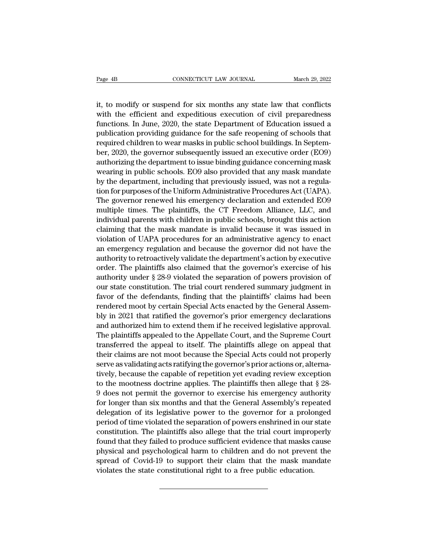Page 4B<br>
CONNECTICUT LAW JOURNAL<br>
it, to modify or suspend for six months any state law that conflicts<br>
with the efficient and expeditious execution of civil preparedness<br>
functions In June 2000, the state Department of Ed Page 4B<br>
CONNECTICUT LAW JOURNAL<br>
it, to modify or suspend for six months any state law that conflicts<br>
with the efficient and expeditious execution of civil preparedness<br>
functions. In June, 2020, the state Department of Fage 4B<br>
CONNECTICUT LAW JOURNAL<br>
it, to modify or suspend for six months any state law that conflicts<br>
with the efficient and expeditious execution of civil preparedness<br>
functions. In June, 2020, the state Department of Page 4B<br>
connecticut LAW JOURNAL<br>
it, to modify or suspend for six months any state law that conflicts<br>
with the efficient and expeditious execution of civil preparedness<br>
functions. In June, 2020, the state Department of it, to modify or suspend for six months any state law that conflicts<br>with the efficient and expeditious execution of civil preparedness<br>functions. In June, 2020, the state Department of Education issued a<br>publication provi it, to modify or suspend for six months any state law that conflicts<br>with the efficient and expeditious execution of civil preparedness<br>functions. In June, 2020, the state Department of Education issued a<br>publication provi It, to modify or suspend for six months any state law that conflicts<br>with the efficient and expeditious execution of civil preparedness<br>functions. In June, 2020, the state Department of Education issued a<br>publication provi with the efficient and expeditious execution of civil preparedness<br>functions. In June, 2020, the state Department of Education issued a<br>publication providing guidance for the safe reopening of schools that<br>required childre runctions. In June, 2020, the state Department or Education issued a<br>publication providing guidance for the safe reopening of schools that<br>required children to wear masks in public school buildings. In Septem-<br>ber, 2020, t publication providing guidance for the safe reopening of schools that<br>required children to wear masks in public school buildings. In Septem-<br>ber, 2020, the governor subsequently issued an executive order (EO9)<br>authorizing required children to wear masks in public school buildings. In September, 2020, the governor subsequently issued an executive order (EO9) authorizing the department to issue binding guidance concerning mask wearing in publ ber, 2020, the governor subsequently issued an executive order (EO9)<br>authorizing the department to issue binding guidance concerning mask<br>wearing in public schools. EO9 also provided that any mask mandate<br>by the department authorizing the department to issue binding guidance concerning mask<br>wearing in public schools. EO9 also provided that any mask mandate<br>by the department, including that previously issued, was not a regula-<br>tion for purpos wearing in public schools. EO9 also provided that any mask mandate<br>by the department, including that previously issued, was not a regula-<br>tion for purposes of the Uniform Administrative Procedures Act (UAPA).<br>The governor by the department, including that previously issued, was not a regulation for purposes of the Uniform Administrative Procedures Act (UAPA). The governor renewed his emergency declaration and extended EO9 multiple times. Th tion for purposes of the Uniform Administrative Procedures Act (UAPA).<br>The governor renewed his emergency declaration and extended EO9<br>multiple times. The plaintiffs, the CT Freedom Alliance, LLC, and<br>individual parents wi The governor renewed his emergency declaration and extended EO9<br>multiple times. The plaintiffs, the CT Freedom Alliance, LLC, and<br>individual parents with children in public schools, brought this action<br>claiming that the ma multiple times. The plaintiffs, the CT Freedom Alliance, LLC, and<br>individual parents with children in public schools, brought this action<br>claiming that the mask mandate is invalid because it was issued in<br>violation of UAPA maryiaual parents with children in public schools, brought this action<br>claiming that the mask mandate is invalid because it was issued in<br>violation of UAPA procedures for an administrative agency to enact<br>an emergency regu claiming that the mask mandate is invalid because it was issued in<br>violation of UAPA procedures for an administrative agency to enact<br>an emergency regulation and because the governor did not have the<br>authority to retroacti violation of UAPA procedures for an administrative agency to enact<br>an emergency regulation and because the governor did not have the<br>authority to retroactively validate the department's action by executive<br>order. The plain an emergency regulation and because the governor did not have the<br>authority to retroactively validate the department's action by executive<br>order. The plaintiffs also claimed that the governor's exercise of his<br>authority un authority to retroactively validate the department s action by executive<br>order. The plaintiffs also claimed that the governor's exercise of his<br>authority under § 28-9 violated the separation of powers provision of<br>our stat order. The plaintiffs also claimed that the governor's exercise of his<br>authority under § 28-9 violated the separation of powers provision of<br>our state constitution. The trial court rendered summary judgment in<br>favor of the authority under § 28-9 violated the separation of powers provision of<br>our state constitution. The trial court rendered summary judgment in<br>favor of the defendants, finding that the plaintiffs' claims had been<br>rendered moot our state constitution. The trial court rendered summary judgment in<br>favor of the defendants, finding that the plaintiffs' claims had been<br>rendered moot by certain Special Acts enacted by the General Assem-<br>bly in 2021 tha ravor or the derendants, maing that the plaintins claims had been<br>rendered moot by certain Special Acts enacted by the General Assem-<br>bly in 2021 that ratified the governor's prior emergency declarations<br>and authorized him rendered moot by certain special Acts enacted by the General Assem-<br>bly in 2021 that ratified the governor's prior emergency declarations<br>and authorized him to extend them if he received legislative approval.<br>The plaintiff by in 2021 that ratined the governor's prior emergency declarations<br>and authorized him to extend them if he received legislative approval.<br>The plaintiffs appealed to the Appellate Court, and the Supreme Court<br>transferred t and authorized nim to extend them if ne received legislative approval.<br>The plaintiffs appealed to the Appellate Court, and the Supreme Court<br>transferred the appeal to itself. The plaintiffs allege on appeal that<br>their clai The plaintins appealed to the Appenate Court, and the supreme Court<br>transferred the appeal to itself. The plaintiffs allege on appeal that<br>their claims are not moot because the Special Acts could not properly<br>serve as vali transferred the appear to tisel. The plaintiffs allege on appear that<br>their claims are not moot because the Special Acts could not properly<br>serve as validating acts ratifying the governor's prior actions or, alterna-<br>tivel their claims are not moot because the special Acts could not properly<br>serve as validating acts ratifying the governor's prior actions or, alterna-<br>tively, because the capable of repetition yet evading review exception<br>to t serve as vandating acts ratifying the governor sprior actions or, alternatively, because the capable of repetition yet evading review exception<br>to the mootness doctrine applies. The plaintiffs then allege that § 28-<br>9 does tively, because the capable of repetition yet evading review exception<br>to the mootness doctrine applies. The plaintiffs then allege that § 28-<br>9 does not permit the governor to exercise his emergency authority<br>for longer t found that they failed to produce sufficient evidence that the masks cause<br>produce sufficient of its legislative power to the governor for a prolonged<br>delegation of its legislative power to the governor for a prolonged<br>per by does not permit the governor to exercise his emergency attincity<br>for longer than six months and that the General Assembly's repeated<br>delegation of its legislative power to the governor for a prolonged<br>period of time vio for longer than six months and that the General Assembly's repeated<br>delegation of its legislative power to the governor for a prolonged<br>period of time violated the separation of powers enshrined in our state<br>constitution. delegation of its legislative power to the governor for a proto<br>period of time violated the separation of powers enshrined in our<br>constitution. The plaintiffs also allege that the trial court improj<br>found that they failed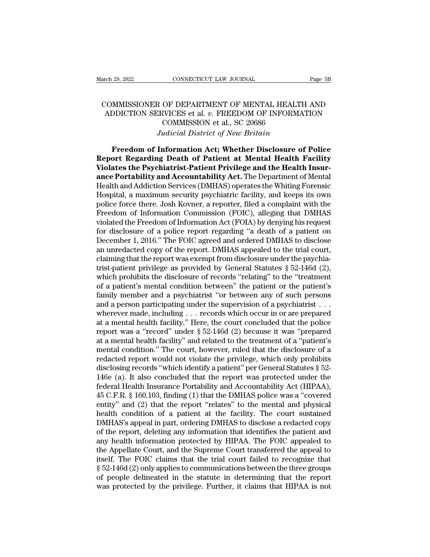## arch 29, 2022<br>
COMMISSIONER OF DEPARTMENT OF MENTAL HEALTH AND<br>
COMMISSIONER OF DEPARTMENT OF MENTAL HEALTH AND<br>
ADDICTION SERVICES et al. v. FREEDOM OF INFORMATION<br>
COMMISSION of al. SC 20686 For a 29, 2022<br>
ADDICTION SERVICES et al. *v.* FREEDOM OF INFORMATION<br>
COMMISSION SERVICES et al. *v.* FREEDOM OF INFORMATION<br>
COMMISSION et al., SC 20686 CONNECTICUT LAW JOURNAL<br>
OF DEPARTMENT OF MENTAL HEALT<br>
RVICES et al. v. FREEDOM OF INFORM<br>
COMMISSION et al., SC 20686<br>
udicial District of New Britain *FROER CONNECTICUT LAW JOURNAL*<br> *Judicial v. FREEDOM OF INFORMATI*<br> *Judicial District of New Britain*<br> **Information Act: Whether Disclosure of P** MMISSIONER OF DEPARTMENT OF MENTAL HEALTH AND<br>DDICTION SERVICES et al. *v.* FREEDOM OF INFORMATION<br>COMMISSION et al., SC 20686<br>*Judicial District of New Britain*<br>**Freedom of Information Act; Whether Disclosure of Police**<br>p COMMISSIONER OF DEPARTMENT OF MENTAL HEALTH AND<br>ADDICTION SERVICES et al. v. FREEDOM OF INFORMATION<br>COMMISSION et al., SC 20686<br>*Judicial District of New Britain*<br>**Freedom of Information Act; Whether Disclosure of Police**<br>

ADDICTION SERVICES et al. *v.* FREEDOM OF INFORMATION<br>COMMISSION et al., SC 20686<br>*Judicial District of New Britain*<br>**Freedom of Information Act; Whether Disclosure of Police**<br>**Report Regarding Death of Patient at Mental H EXECUTE COMMISSION et al., SC 20686**<br> *Audicial District of New Britain*<br> **ance Preedom of Information Act; Whether Disclosure of Police<br>
<b>Report Regarding Death of Patient at Mental Health Facility**<br> **Violates the Psychi** Judicial District of New Britain<br>
Freedom of Information Act; Whether Disclosure of Police<br>
Report Regarding Death of Patient at Mental Health Facility<br>
Violates the Psychiatrist-Patient Privilege and the Health Insur-<br>
an Freedom of Information Act; Whether Disclosure of Police<br>Report Regarding Death of Patient at Mental Health Facility<br>Violates the Psychiatrist-Patient Privilege and the Health Insur-<br>ance Portability and Accountability Act Freedom of Information Act; Whether Disclosure of Police<br>Report Regarding Death of Patient at Mental Health Facility<br>Violates the Psychiatrist-Patient Privilege and the Health Insur-<br>ance Portability and Accountability Ac Report Regarding Death of Patient at Mental Health Facility<br>Violates the Psychiatrist-Patient Privilege and the Health Insur-<br>ance Portability and Accountability Act. The Department of Mental<br>Health and Addiction Services **Violates the Psychiatrist-Patient Privilege and the Health Insur-**<br>**ance Portability and Accountability Act.** The Department of Mental<br>Health and Addiction Services (DMHAS) operates the Whiting Forensic<br>Hospital, a maximu **ance Portability and Accountability Act.** The Department of Mental Health and Addiction Services (DMHAS) operates the Whiting Forensic Hospital, a maximum security psychiatric facility, and keeps its own police force ther Health and Addiction Services (DMHAS) operates the Whiting Forensic<br>Hospital, a maximum security psychiatric facility, and keeps its own<br>police force there. Josh Kovner, a reporter, filed a complaint with the<br>Freedom of In Hospital, a maximum security psychiatric facility, and keeps its own<br>police force there. Josh Kovner, a reporter, filed a complaint with the<br>Freedom of Information Commission (FOIC), alleging that DMHAS<br>violated the Freedo police force there. Josh Kovner, a reporter, filed a complaint with the Freedom of Information Commission (FOIC), alleging that DMHAS violated the Freedom of Information Act (FOIA) by denying his request for disclosure of Freedom of Information Commission (FOIC), alleging that DMHAS<br>violated the Freedom of Information Act (FOIA) by denying his request<br>for disclosure of a police report regarding "a death of a patient on<br>December 1, 2016." Th violated the Freedom of Information Act (FOIA) by denying his request<br>for disclosure of a police report regarding "a death of a patient on<br>December 1, 2016." The FOIC agreed and ordered DMHAS to disclose<br>an unredacted copy for disclosure of a police report regarding "a death of a patient on<br>December 1, 2016." The FOIC agreed and ordered DMHAS to disclose<br>an unredacted copy of the report. DMHAS appealed to the trial court,<br>claiming that the r December 1, 2016." The FOIC agreed and ordered DMHAS to disclose<br>an unredacted copy of the report. DMHAS appealed to the trial court,<br>claiming that the report was exempt from disclosure under the psychia-<br>trist-patient pri an unredacted copy of the report. DMHAS appealed to the trial court,<br>claiming that the report was exempt from disclosure under the psychia-<br>trist-patient privilege as provided by General Statutes  $\S 52-146d (2)$ ,<br>which pro claiming that the report was exempt from disclosure under the psychia-<br>trist-patient privilege as provided by General Statutes § 52-146d (2),<br>which prohibits the disclosure of records "relating" to the "treatment<br>of a pat trist-patient privilege as provided by General Statutes § 52-146d (2),<br>which prohibits the disclosure of records "relating" to the "treatment<br>of a patient's mental condition between" the patient or the patient's<br>family me which prohibits the disclosure of records "relating" to the "treatment<br>of a patient's mental condition between" the patient or the patient's<br>family member and a psychiatrist "or between any of such persons<br>and a person pa of a patient's mental condition between" the patient or the patient's<br>family member and a psychiatrist "or between any of such persons<br>and a person participating under the supervision of a psychiatrist . . .<br>wherever made, family member and a psychiatrist "or between any of such persons<br>and a person participating under the supervision of a psychiatrist . . .<br>wherever made, including . . . records which occur in or are prepared<br>at a mental h and a person participating under the supervision of a psychiatrist . . .<br>wherever made, including . . . records which occur in or are prepared<br>at a mental health facility." Here, the court concluded that the police<br>report wherever made, including . . . records which occur in or are prepared<br>at a mental health facility." Here, the court concluded that the police<br>report was a "record" under  $\S 52-146d$  (2) because it was "prepared<br>at a menta at a mental health facility." Here, the court concluded that the police<br>report was a "record" under  $\S$  52-146d (2) because it was "prepared<br>at a mental health facility" and related to the treatment of a "patient's<br>mental report was a "record" under § 52-146d (2) because it was "prepared<br>at a mental health facility" and related to the treatment of a "patient's<br>mental condition." The court, however, ruled that the disclosure of a<br>redacted r at a mental health facility" and related to the treatment of a "patient's<br>mental condition." The court, however, ruled that the disclosure of a<br>redacted report would not violate the privilege, which only prohibits<br>disclosi mental condition." The court, however, ruled that the disclosure of a<br>redacted report would not violate the privilege, which only prohibits<br>disclosing records "which identify a patient" per General Statutes § 52-<br>146e (a). redacted report would not violate the privilege, which only prohibits<br>disclosing records "which identify a patient" per General Statutes § 52-<br>146e (a). It also concluded that the report was protected under the<br>federal Hea disclosing records "which identify a patient" per General Statutes § 52-<br>146e (a). It also concluded that the report was protected under the<br>federal Health Insurance Portability and Accountability Act (HIPAA),<br>45 C.F.R. § 146e (a). It also concluded that the report was protected under the federal Health Insurance Portability and Accountability Act (HIPAA), 45 C.F.R. § 160.103, finding (1) that the DMHAS police was a "covered entity" and (2) federal Health Insurance Portability and Accountability Act (HIPAA),<br>45 C.F.R. § 160.103, finding (1) that the DMHAS police was a "covered<br>entity" and (2) that the report "relates" to the mental and physical<br>health conditi 45 C.F.R. § 160.103, finding (1) that the DMHAS police was a "covered entity" and (2) that the report "relates" to the mental and physical health condition of a patient at the facility. The court sustained DMHAS's appeal i entity" and (2) that the report "relates" to the mental and physical<br>health condition of a patient at the facility. The court sustained<br>DMHAS's appeal in part, ordering DMHAS to disclose a redacted copy<br>of the report, dele health condition of a patient at the facility. The court sustained<br>DMHAS's appeal in part, ordering DMHAS to disclose a redacted copy<br>of the report, deleting any information that identifies the patient and<br>any health infor DMHAS's appeal in part, ordering DMHAS to disclose a redacted copy<br>of the report, deleting any information that identifies the patient and<br>any health information protected by HIPAA. The FOIC appealed to<br>the Appellate Court of the report, deleting any information that identifies the patient and<br>any health information protected by HIPAA. The FOIC appealed to<br>the Appellate Court, and the Supreme Court transferred the appeal to<br>itself. The FOIC